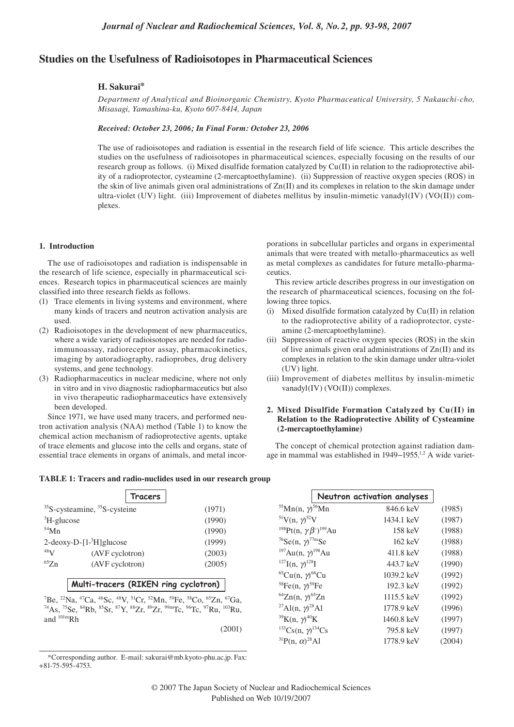# **Studies on the Usefulness of Radioisotopes in Pharmaceutical Sciences**

## **H. Sakurai\***

*Department of Analytical and Bioinorganic Chemistry, Kyoto Pharmaceutical University, 5 Nakauchi-cho, Misasagi, Yamashina-ku, Kyoto 607-8414, Japan*

### *Received: October 23, 2006; In Final Form: October 23, 2006*

The use of radioisotopes and radiation is essential in the research field of life science. This article describes the studies on the usefulness of radioisotopes in pharmaceutical sciences, especially focusing on the results of our research group as follows. (i) Mixed disulfide formation catalyzed by Cu(II) in relation to the radioprotective ability of a radioprotector, cysteamine (2-mercaptoethylamine). (ii) Suppression of reactive oxygen species (ROS) in the skin of live animals given oral administrations of Zn(II) and its complexes in relation to the skin damage under ultra-violet (UV) light. (iii) Improvement of diabetes mellitus by insulin-mimetic vanadyl(IV) (VO(II)) complexes.

#### **1. Introduction**

The use of radioisotopes and radiation is indispensable in the research of life science, especially in pharmaceutical sciences. Research topics in pharmaceutical sciences are mainly classified into three research fields as follows.

- (1) Trace elements in living systems and environment, where many kinds of tracers and neutron activation analysis are used.
- (2) Radioisotopes in the development of new pharmaceutics, where a wide variety of radioisotopes are needed for radioimmunoassay, radioreceptor assay, pharmacokinetics, imaging by autoradiography, radioprobes, drug delivery systems, and gene technology.
- (3) Radiopharmaceutics in nuclear medicine, where not only in vitro and in vivo diagnostic radiopharmaceutics but also in vivo therapeutic radiopharmaceutics have extensively been developed.

Since 1971, we have used many tracers, and performed neutron activation analysis (NAA) method (Table 1) to know the chemical action mechanism of radioprotective agents, uptake of trace elements and glucose into the cells and organs, state of essential trace elements in organs of animals, and metal incorporations in subcellular particles and organs in experimental animals that were treated with metallo-pharmaceutics as well as metal complexes as candidates for future metallo-pharmaceutics.

This review article describes progress in our investigation on the research of pharmaceutical sciences, focusing on the following three topics.

- (i) Mixed disulfide formation catalyzed by Cu(II) in relation to the radioprotective ability of a radioprotector, cysteamine (2-mercaptoethylamine).
- (ii) Suppression of reactive oxygen species (ROS) in the skin of live animals given oral administrations of Zn(II) and its complexes in relation to the skin damage under ultra-violet (UV) light.
- (iii) Improvement of diabetes mellitus by insulin-mimetic vanadyl(IV) (VO(II)) complexes.

# **2. Mixed Disulfide Formation Catalyzed by Cu(II) in Relation to the Radioprotective Ability of Cysteamine (2-mercaptoethylamine)**

The concept of chemical protection against radiation damage in mammal was established in 1949−1955.1,2 A wide variet-

#### **TABLE 1: Tracers and radio-nuclides used in our research group**

| Tracers                                                                                                                                                                                                |                                               |                                                                      | Neutron activation analyses |  |
|--------------------------------------------------------------------------------------------------------------------------------------------------------------------------------------------------------|-----------------------------------------------|----------------------------------------------------------------------|-----------------------------|--|
| $35$ S-cysteamine, $35$ S-cysteine                                                                                                                                                                     | (1971)                                        | <sup>55</sup> Mn(n, $\gamma$ <sup>56</sup> Mn                        | 846.6 keV                   |  |
| ${}^{3}H$ -glucose                                                                                                                                                                                     | (1990)                                        | <sup>51</sup> V(n, $\gamma$ ) <sup>52</sup> V                        | 1434.1 keV                  |  |
| $54$ Mn                                                                                                                                                                                                | (1990)                                        | <sup>198</sup> Pt(n, $\gamma \beta$ <sup>-</sup> ) <sup>199</sup> Au | 158 keV                     |  |
| $2-deoxy-D-[1-3H]$ glucose                                                                                                                                                                             | (1999)                                        | $^{76}$ Se(n, $\gamma$ ) <sup>77m</sup> Se                           | $162 \text{ keV}$           |  |
| 48V<br>(AVF cyclotron)                                                                                                                                                                                 | (2003)                                        | $197$ Au(n, $\gamma$ ) <sup>198</sup> Au                             | 411.8 keV                   |  |
| ${}^{65}Zn$<br>(AVF cyclotron)                                                                                                                                                                         | (2005)                                        | $^{127}$ I(n, $\gamma$ ) <sup>128</sup> I                            | 443.7 keV                   |  |
|                                                                                                                                                                                                        |                                               | <sup>65</sup> Cu(n, $\gamma$ <sup>66</sup> Cu                        | 1039.2 keV                  |  |
| Multi-tracers (RIKEN ring cyclotron)                                                                                                                                                                   |                                               | <sup>58</sup> Fe(n, $\gamma$ <sup>59</sup> Fe                        | 192.3 keV                   |  |
| ${}^{7}Be$ , ${}^{22}Na$ , ${}^{47}Ca$ , ${}^{46}Sc$ , ${}^{48}V$ , ${}^{51}Cr$ , ${}^{52}Mn$ , ${}^{59}Fe$ , ${}^{58}Co$ , ${}^{65}Zn$ , ${}^{67}Ga$ ,                                                | <sup>64</sup> Zn(n, $\gamma$ <sup>65</sup> Zn | 1115.5 keV                                                           |                             |  |
| <sup>74</sup> As, <sup>75</sup> Se, <sup>84</sup> Rb, <sup>85</sup> Sr, <sup>87</sup> Y, <sup>88</sup> Zr, <sup>89</sup> Zr, <sup>99m</sup> Tc, <sup>96</sup> Tc, <sup>97</sup> Ru, <sup>103</sup> Ru, |                                               | <sup>27</sup> Al(n, $\gamma$ <sup>28</sup> Al                        | 1778.9 keV                  |  |
| and <sup>101m</sup> Rh                                                                                                                                                                                 |                                               | <sup>39</sup> K(n, $\gamma$ <sup>40</sup> K                          | 1460.8 keV                  |  |
|                                                                                                                                                                                                        | (2001)                                        | <sup>133</sup> Cs(n, $\gamma$ <sup>134</sup> Cs                      | 795.8 keV                   |  |
|                                                                                                                                                                                                        |                                               | $^{31}P(n, \alpha)^{28}Al$                                           | 1778.9 keV                  |  |

\*Corresponding author. E-mail: sakurai@mb.kyoto-phu.ac.jp. Fax: +81-75-595-4753.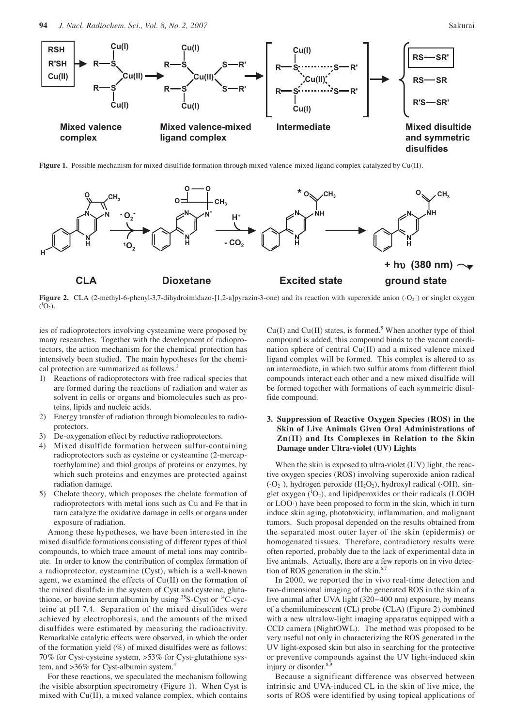

**Figure 1.** Possible mechanism for mixed disulfide formation through mixed valence-mixed ligand complex catalyzed by Cu(II).



**Figure 2.** CLA (2-methyl-6-phenyl-3,7-dihydroimidazo-[1,2-a]pyrazin-3-one) and its reaction with superoxide anion (·O<sub>2</sub><sup>-</sup>) or singlet oxygen  $(^{1}O_{2})$ .

ies of radioprotectors involving cysteamine were proposed by many researches. Together with the development of radioprotectors, the action mechanism for the chemical protection has intensively been studied. The main hypotheses for the chemical protection are summarized as follows.<sup>3</sup>

- 1) Reactions of radioprotectors with free radical species that are formed during the reactions of radiation and water as solvent in cells or organs and biomolecules such as proteins, lipids and nucleic acids.
- 2) Energy transfer of radiation through biomolecules to radioprotectors.
- 3) De-oxygenation effect by reductive radioprotectors.
- 4) Mixed disulfide formation between sulfur-containing radioprotectors such as cysteine or cysteamine (2-mercaptoethylamine) and thiol groups of proteins or enzymes, by which such proteins and enzymes are protected against radiation damage.
- 5) Chelate theory, which proposes the chelate formation of radioprotectors with metal ions such as Cu and Fe that in turn catalyze the oxidative damage in cells or organs under exposure of radiation.

Among these hypotheses, we have been interested in the mixed disulfide formations consisting of different types of thiol compounds, to which trace amount of metal ions may contribute. In order to know the contribution of complex formation of a radioprotector, cysteamine (Cyst), which is a well-known agent, we examined the effects of Cu(II) on the formation of the mixed disulfide in the system of Cyst and cysteine, glutathione, or bovine serum albumin by using  $35S-Cyst$  or  $14C-cyc$ teine at pH 7.4. Separation of the mixed disulfides were achieved by electrophoresis, and the amounts of the mixed disulfides were estimated by measuring the radioactivity. Remarkable catalytic effects were observed, in which the order of the formation yield (%) of mixed disulfides were as follows: 70% for Cyst-cysteine system, >53% for Cyst-glutathione system, and >36% for Cyst-albumin system.<sup>4</sup>

For these reactions, we speculated the mechanism following the visible absorption spectrometry (Figure 1). When Cyst is mixed with Cu(II), a mixed valance complex, which contains

 $Cu(I)$  and  $Cu(II)$  states, is formed.<sup>5</sup> When another type of thiol compound is added, this compound binds to the vacant coordination sphere of central Cu(II) and a mixed valence mixed ligand complex will be formed. This complex is altered to as an intermediate, in which two sulfur atoms from different thiol compounds interact each other and a new mixed disulfide will be formed together with formations of each symmetric disulfide compound.

# **3. Suppression of Reactive Oxygen Species (ROS) in the Skin of Live Animals Given Oral Administrations of Zn(II) and Its Complexes in Relation to the Skin Damage under Ultra-violet (UV) Lights**

When the skin is exposed to ultra-violet (UV) light, the reactive oxygen species (ROS) involving superoxide anion radical (·O2 − ), hydrogen peroxide (H2O2), hydroxyl radical (·OH), singlet oxygen  $(^{1}O_{2})$ , and lipidperoxides or their radicals (LOOH or LOO·) have been proposed to form in the skin, which in turn induce skin aging, phototoxicity, inflammation, and malignant tumors. Such proposal depended on the results obtained from the separated most outer layer of the skin (epidermis) or homogenated tissues. Therefore, contradictory results were often reported, probably due to the lack of experimental data in live animals. Actually, there are a few reports on in vivo detection of ROS generation in the skin.<sup>6,7</sup>

In 2000, we reported the in vivo real-time detection and two-dimensional imaging of the generated ROS in the skin of a live animal after UVA light (320−400 nm) exposure, by means of a chemiluminescent (CL) probe (CLA) (Figure 2) combined with a new ultralow-light imaging apparatus equipped with a CCD camera (NightOWL). The method was proposed to be very useful not only in characterizing the ROS generated in the UV light-exposed skin but also in searching for the protective or preventive compounds against the UV light-induced skin injury or disorder.<sup>8,9</sup>

Because a significant difference was observed between intrinsic and UVA-induced CL in the skin of live mice, the sorts of ROS were identified by using topical applications of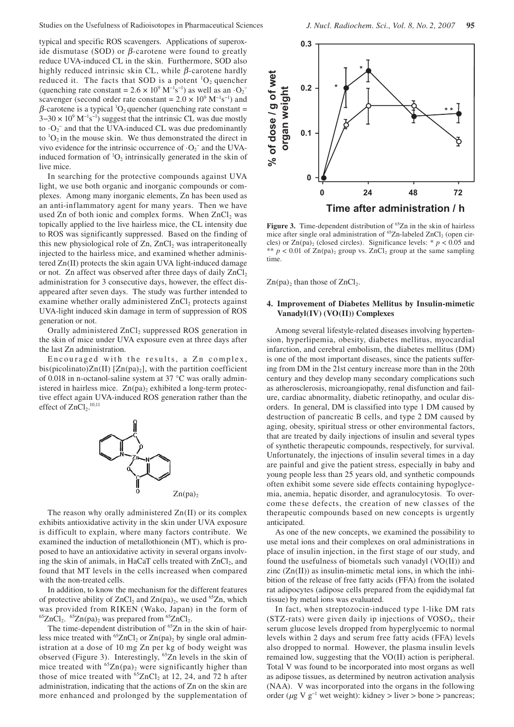typical and specific ROS scavengers. Applications of superoxide dismutase (SOD) or  $\beta$ -carotene were found to greatly reduce UVA-induced CL in the skin. Furthermore, SOD also highly reduced intrinsic skin CL, while  $\beta$ -carotene hardly reduced it. The facts that SOD is a potent  ${}^{1}O_{2}$  quencher (quenching rate constant =  $2.6 \times 10^9$  M<sup>-1</sup>s<sup>-1</sup>) as well as an  $\cdot$ O<sub>2</sub><sup>-</sup> scavenger (second order rate constant =  $2.0 \times 10^9$  M<sup>-1</sup>s<sup>-1</sup>) and  $\beta$ -carotene is a typical <sup>1</sup>O<sub>2</sub> quencher (quenching rate constant =  $3-30 \times 10^{9}$  M<sup>-1</sup>s<sup>-1</sup>) suggest that the intrinsic CL was due mostly to  $\cdot$ O<sub>2</sub><sup>-</sup> and that the UVA-induced CL was due predominantly to  ${}^{1}O_{2}$  in the mouse skin. We thus demonstrated the direct in vivo evidence for the intrinsic occurrence of  $\cdot O_2^-$  and the UVAinduced formation of  ${}^{1}O_{2}$  intrinsically generated in the skin of live mice.

In searching for the protective compounds against UVA light, we use both organic and inorganic compounds or complexes. Among many inorganic elements, Zn has been used as an anti-inflammatory agent for many years. Then we have used Zn of both ionic and complex forms. When  $ZnCl<sub>2</sub>$  was topically applied to the live hairless mice, the CL intensity due to ROS was significantly suppressed. Based on the finding of this new physiological role of  $Zn$ ,  $ZnCl<sub>2</sub>$  was intraperitoneally injected to the hairless mice, and examined whether administered Zn(II) protects the skin again UVA light-induced damage or not. Zn affect was observed after three days of daily  $ZnCl<sub>2</sub>$ administration for 3 consecutive days, however, the effect disappeared after seven days. The study was further intended to examine whether orally administered ZnCl<sub>2</sub> protects against UVA-light induced skin damage in term of suppression of ROS generation or not.

Orally administered ZnCl<sub>2</sub> suppressed ROS generation in the skin of mice under UVA exposure even at three days after the last Zn administration.

Encouraged with the results, a Zn complex, bis(picolinato) $Zn(II)$  [ $Zn(pa)_2$ ], with the partition coefficient of 0.018 in n-octanol-saline system at 37 °C was orally administered in hairless mice.  $Zn(pa)_2$  exhibited a long-term protective effect again UVA-induced ROS generation rather than the effect of  $ZnCl<sub>2</sub>.<sup>10,11</sup>$ 



The reason why orally administered Zn(II) or its complex exhibits antioxidative activity in the skin under UVA exposure is difficult to explain, where many factors contribute. We examined the induction of metallothionein (MT), which is proposed to have an antioxidative activity in several organs involving the skin of animals, in HaCaT cells treated with ZnCl<sub>2</sub>, and found that MT levels in the cells increased when compared with the non-treated cells.

In addition, to know the mechanism for the different features of protective ability of  $ZnCl<sub>2</sub>$  and  $Zn(pa)<sub>2</sub>$ , we used <sup>65</sup>Zn, which was provided from RIKEN (Wako, Japan) in the form of  ${}^{65}ZnCl_2$ .  ${}^{65}Zn(pa)_2$  was prepared from  ${}^{65}ZnCl_2$ .

The time-dependent distribution of <sup>65</sup>Zn in the skin of hairless mice treated with <sup>65</sup>ZnCl<sub>2</sub> or Zn(pa)<sub>2</sub> by single oral administration at a dose of 10 mg Zn per kg of body weight was observed (Figure 3). Interestingly, 65Zn levels in the skin of mice treated with  ${}^{65}Zn(pa)_2$  were significantly higher than those of mice treated with  ${}^{65}ZnCl_2$  at 12, 24, and 72 h after administration, indicating that the actions of Zn on the skin are more enhanced and prolonged by the supplementation of



Figure 3. Time-dependent distribution of <sup>65</sup>Zn in the skin of hairless mice after single oral administration of  ${}^{65}Zn$ -labeled  $ZnCl_2$  (open circles) or  $Zn(pa)$ <sub>2</sub> (closed circles). Significance levels: \*  $p < 0.05$  and \*\*  $p < 0.01$  of Zn(pa)<sub>2</sub> group vs. ZnCl<sub>2</sub> group at the same sampling time.

 $Zn(pa)_2$  than those of  $ZnCl_2$ .

### **4. Improvement of Diabetes Mellitus by Insulin-mimetic Vanadyl(IV) (VO(II)) Complexes**

Among several lifestyle-related diseases involving hypertension, hyperlipemia, obesity, diabetes mellitus, myocardial infarction, and cerebral embolism, the diabetes mellitus (DM) is one of the most important diseases, since the patients suffering from DM in the 21st century increase more than in the 20th century and they develop many secondary complications such as atherosclerosis, microangiopathy, renal disfunction and failure, cardiac abnormality, diabetic retinopathy, and ocular disorders. In general, DM is classified into type 1 DM caused by destruction of pancreatic B cells, and type 2 DM caused by aging, obesity, spiritual stress or other environmental factors, that are treated by daily injections of insulin and several types of synthetic therapeutic compounds, respectively, for survival. Unfortunately, the injections of insulin several times in a day are painful and give the patient stress, especially in baby and young people less than 25 years old, and synthetic compounds often exhibit some severe side effects containing hypoglycemia, anemia, hepatic disorder, and agranulocytosis. To overcome these defects, the creation of new classes of the therapeutic compounds based on new concepts is urgently anticipated.

As one of the new concepts, we examined the possibility to use metal ions and their complexes on oral administrations in place of insulin injection, in the first stage of our study, and found the usefulness of biometals such vanadyl (VO(II)) and zinc  $(Zn(II))$  as insulin-mimetic metal ions, in which the inhibition of the release of free fatty acids (FFA) from the isolated rat adipocytes (adipose cells prepared from the eqididymal fat tissue) by metal ions was evaluated.

In fact, when streptozocin-induced type 1-like DM rats  $(STZ-rats)$  were given daily ip injections of  $VOSO<sub>4</sub>$ , their serum glucose levels dropped from hyperglycemic to normal levels within 2 days and serum free fatty acids (FFA) levels also dropped to normal. However, the plasma insulin levels remained low, suggesting that the VO(II) action is peripheral. Total V was found to be incorporated into most organs as well as adipose tissues, as determined by neutron activation analysis (NAA). V was incorporated into the organs in the following order ( $\mu$ g V g<sup>-1</sup> wet weight): kidney > liver > bone > pancreas;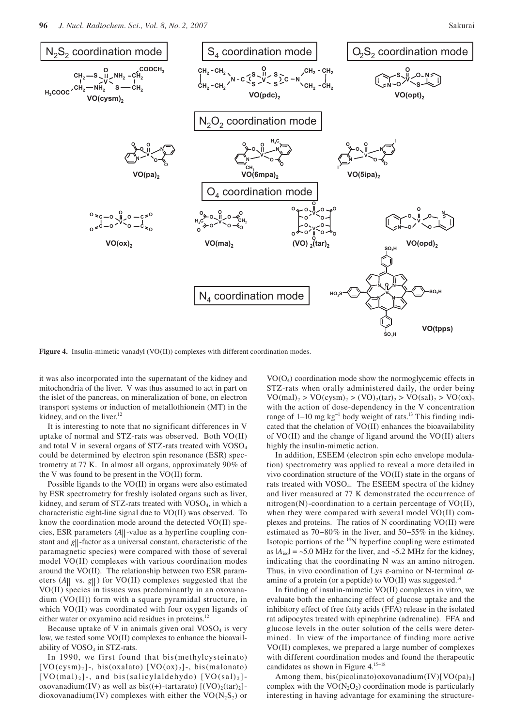

Figure 4. Insulin-mimetic vanadyl (VO(II)) complexes with different coordination modes.

it was also incorporated into the supernatant of the kidney and mitochondria of the liver. V was thus assumed to act in part on the islet of the pancreas, on mineralization of bone, on electron transport systems or induction of metallothionein (MT) in the kidney, and on the liver.<sup>12</sup>

It is interesting to note that no significant differences in V uptake of normal and STZ-rats was observed. Both VO(II) and total V in several organs of  $STZ$ -rats treated with  $VOSO<sub>4</sub>$ could be determined by electron spin resonance (ESR) spectrometry at 77 K. In almost all organs, approximately 90% of the V was found to be present in the VO(II) form.

Possible ligands to the VO(II) in organs were also estimated by ESR spectrometry for freshly isolated organs such as liver, kidney, and serum of STZ-rats treated with VOSO<sub>4</sub>, in which a characteristic eight-line signal due to VO(II) was observed. To know the coordination mode around the detected VO(II) species, ESR parameters (A|| -value as a hyperfine coupling constant and *g*||-factor as a universal constant, characteristic of the paramagnetic species) were compared with those of several model VO(II) complexes with various coordination modes around the VO(II). The relationship between two ESR parameters  $(A||$  vs.  $g||)$  for VO(II) complexes suggested that the VO(II) species in tissues was predominantly in an oxovanadium (VO(II)) form with a square pyramidal structure, in which VO(II) was coordinated with four oxygen ligands of either water or oxyamino acid residues in proteins.<sup>12</sup>

Because uptake of V in animals given oral  $VOSO<sub>4</sub>$  is very low, we tested some VO(II) complexes to enhance the bioavailability of VOSO<sub>4</sub> in STZ-rats.

In 1990, we first found that bis (methylcysteinato)  $[VO(cysm)_2]$ -, bis(oxalato)  $[VO(ox)_2]$ -, bis(malonato)  $[VO(mal)_2]$ -, and bis (salicylaldehydo)  $[VO(sal)_2]$ oxovanadium(IV) as well as  $bis((+)$ -tartarato)  $[(VO),(tar)_2]$ dioxovanadium(IV) complexes with either the  $VO(N_2S_2)$  or

 $VO(O<sub>4</sub>)$  coordination mode show the normoglycemic effects in STZ-rats when orally administered daily, the order being  $VO(mal)_2 > VO(cysm)_2 > (VO)_2(tar)_2 > VO(sal)_2 > VO(ox)_2$ with the action of dose-dependency in the V concentration range of 1−10 mg kg<sup>-1</sup> body weight of rats.<sup>13</sup> This finding indicated that the chelation of VO(II) enhances the bioavailability of VO(II) and the change of ligand around the VO(II) alters highly the insulin-mimetic action.

In addition, ESEEM (electron spin echo envelope modulation) spectrometry was applied to reveal a more detailed in vivo coordination structure of the VO(II) state in the organs of rats treated with VOSO4. The ESEEM spectra of the kidney and liver measured at 77 K demonstrated the occurrence of nitrogen(N)-coordination to a certain percentage of VO(II), when they were compared with several model VO(II) complexes and proteins. The ratios of N coordinating VO(II) were estimated as 70−80% in the liver, and 50−55% in the kidney. Isotopic portions of the 14N hyperfine coupling were estimated as  $|A_{\text{iso}}| = -5.0$  MHz for the liver, and  $-5.2$  MHz for the kidney, indicating that the coordinating N was an amino nitrogen. Thus, in vivo coordination of Lys  $\varepsilon$ -amino or N-terminal  $\alpha$ amine of a protein (or a peptide) to  $VO(II)$  was suggested.<sup>14</sup>

In finding of insulin-mimetic VO(II) complexes in vitro, we evaluate both the enhancing effect of glucose uptake and the inhibitory effect of free fatty acids (FFA) release in the isolated rat adipocytes treated with epinephrine (adrenaline). FFA and glucose levels in the outer solution of the cells were determined. In view of the importance of finding more active VO(II) complexes, we prepared a large number of complexes with different coordination modes and found the therapeutic candidates as shown in Figure 4.15−18

Among them, bis(picolinato)oxovanadium(IV)[VO(pa)<sub>2</sub>] complex with the  $VO(N_2O_2)$  coordination mode is particularly interesting in having advantage for examining the structure-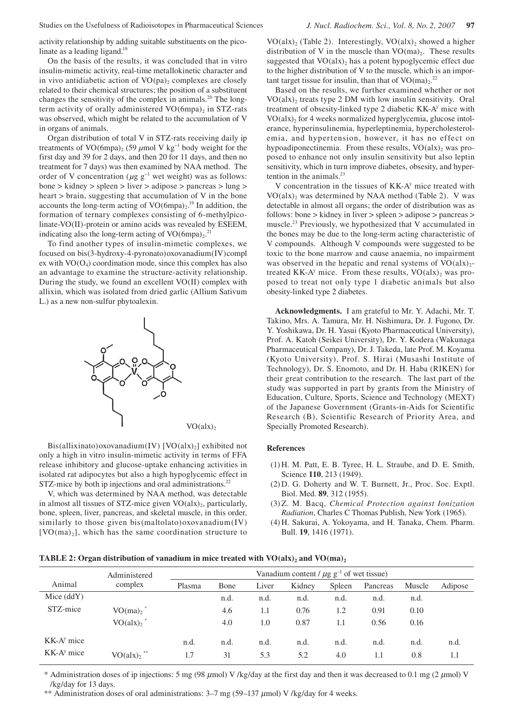activity relationship by adding suitable substituents on the picolinate as a leading ligand.<sup>19</sup>

On the basis of the results, it was concluded that in vitro insulin-mimetic activity, real-time metallokinetic character and in vivo antidiabetic action of  $VO(pa)_2$  complexes are closely related to their chemical structures; the position of a substituent changes the sensitivity of the complex in animals.<sup>20</sup> The longterm activity of orally administered  $VO(6mpa)_2$  in STZ-rats was observed, which might be related to the accumulation of V in organs of animals.

Organ distribution of total V in STZ-rats receiving daily ip treatments of VO(6mpa)<sub>2</sub> (59 µmol V kg<sup>-1</sup> body weight for the first day and 39 for 2 days, and then 20 for 11 days, and then no treatment for 7 days) was then examined by NAA method. The order of V concentration (*µ*g g−1 wet weight) was as follows: bone > kidney > spleen > liver > adipose > pancreas > lung > heart > brain, suggesting that accumulation of V in the bone accounts the long-term acting of  $VO(6mpa)<sub>2</sub>$ .<sup>19</sup> In addition, the formation of ternary complexes consisting of 6-methylpicolinate-VO(II)-protein or amino acids was revealed by ESEEM, indicating also the long-term acting of  $VO(6mpa)<sub>2</sub>$ .<sup>21</sup>

To find another types of insulin-mimetic complexes, we focused on bis(3-hydroxy-4-pyronato)oxovanadium(IV)compl ex with  $VO(O<sub>4</sub>)$  coordination mode, since this complex has also an advantage to examine the structure-activity relationship. During the study, we found an excellent VO(II) complex with allixin, which was isolated from dried garlic (Allium Sativum L.) as a new non-sulfur phytoalexin.



Bis(allixinato)oxovanadium(IV) [VO(alx)<sub>2</sub>] exhibited not only a high in vitro insulin-mimetic activity in terms of FFA release inhibitory and glucose-uptake enhancing activities in isolated rat adipocytes but also a high hypoglycemic effect in STZ-mice by both ip injections and oral administrations.<sup>22</sup>

V, which was determined by NAA method, was detectable in almost all tissues of STZ-mice given  $VO(alx)_2$ , particularly, bone, spleen, liver, pancreas, and skeletal muscle, in this order, similarly to those given bis(maltolato)oxovanadium(IV)  $[VO(ma)_2]$ , which has the same coordination structure to

 $VO(alx)_2$  (Table 2). Interestingly,  $VO(alx)_2$  showed a higher distribution of V in the muscle than  $VO(ma)_2$ . These results suggested that  $VO(alx)_2$  has a potent hypoglycemic effect due to the higher distribution of V to the muscle, which is an important target tissue for insulin, than that of  $VO(ma)<sub>2</sub>$ .<sup>22</sup>

Based on the results, we further examined whether or not  $VO(alx)_2$  treats type 2 DM with low insulin sensitivity. Oral treatment of obsesity-linked type 2 diabetic KK-A<sup>y</sup> mice with  $VO(alx)$ , for 4 weeks normalized hyperglycemia, glucose intolerance, hyperinsulinemia, hyperleptinemia, hypercholesterolemia, and hypertension, however, it has no effect on hypoadiponectinemia. From these results,  $VO(alx)$ , was proposed to enhance not only insulin sensitivity but also leptin sensitivity, which in turn improve diabetes, obsesity, and hypertention in the animals. $^{23}$ 

V concentration in the tissues of KK-A<sup>y</sup> mice treated with  $VO(alx)$ , was determined by NAA method (Table 2). V was detectable in almost all organs; the order of distribution was as follows: bone > kidney in liver > spleen > adipose > pancreas > muscle.23 Previously, we hypothesized that V accumulated in the bones may be due to the long-term acting characteristic of V compounds. Although V compounds were suggested to be toxic to the bone marrow and cause anaemia, no impairment was observed in the hepatic and renal systems of  $VO(alx)_{2}$ treated KK-A<sup>y</sup> mice. From these results,  $VO(alx)_2$  was proposed to treat not only type 1 diabetic animals but also obesity-linked type 2 diabetes.

**Acknowledgments.** I am grateful to Mr. Y. Adachi, Mr. T. Takino, Mrs. A. Tamura, Mr. H. Nishimura, Dr. J. Fugono, Dr. Y. Yoshikawa, Dr. H. Yasui (Kyoto Pharmaceutical University), Prof. A. Katoh (Seikei University), Dr. Y. Kodera (Wakunaga Pharmaceutical Company), Dr. J. Takeda, late Prof. M. Koyama (Kyoto University), Prof. S. Hirai (Musashi Institute of Technology), Dr. S. Enomoto, and Dr. H. Haba (RIKEN) for their great contribution to the research. The last part of the study was supported in part by grants from the Ministry of Education, Culture, Sports, Science and Technology (MEXT) of the Japanese Government (Grants-in-Aids for Scientific Research (B), Scientific Research of Priority Area, and Specially Promoted Research).

# **References**

- (1) H. M. Patt, E. B. Tyree, H. L. Straube, and D. E. Smith, Science **110**, 213 (1949).
- (2) D. G. Doherty and W. T. Burnett, Jr., Proc. Soc. Exptl. Biol. Med. **89**, 312 (1955).
- (3) Z. M. Bacq, *Chemical Protection against Ionization Radiation*, Charles C Thomas Publish, New York (1965).
- (4) H. Sakurai, A. Yokoyama, and H. Tanaka, Chem. Pharm. Bull. **19**, 1416 (1971).

### **TABLE 2: Organ distribution of vanadium in mice treated with**  $VO(alx)_2$  **and**  $VO(ma)_2$

|              | Administered                       | Vanadium content / $\mu$ g g <sup>-1</sup> of wet tissue) |      |       |        |        |          |        |         |
|--------------|------------------------------------|-----------------------------------------------------------|------|-------|--------|--------|----------|--------|---------|
| Animal       | complex                            | Plasma                                                    | Bone | Liver | Kidney | Spleen | Pancreas | Muscle | Adipose |
| Mice $(ddY)$ |                                    |                                                           | n.d. | n.d.  | n.d.   | n.d.   | n.d.     | n.d.   |         |
| STZ-mice     | $VO(ma)2$ <sup>*</sup>             |                                                           | 4.6  | 1.1   | 0.76   | 1.2    | 0.91     | 0.10   |         |
|              | $VO(alx)$ , *                      |                                                           | 4.0  | 1.0   | 0.87   | 1.1    | 0.56     | 0.16   |         |
| $KK-Ay$ mice |                                    | n.d.                                                      | n.d. | n.d.  | n.d.   | n.d.   | n.d.     | n.d.   | n.d.    |
| $KK-Ay$ mice | VO(alx) <sub>2</sub> <sup>**</sup> | 1.7                                                       | 31   | 5.3   | 5.2    | 4.0    | 1.1      | 0.8    | 1.1     |

\* Administration doses of ip injections: 5 mg (98  $\mu$ mol) V /kg/day at the first day and then it was decreased to 0.1 mg (2  $\mu$ mol) V /kg/day for 13 days.

\*\* Administration doses of oral administrations:  $3-7$  mg (59–137  $\mu$ mol) V /kg/day for 4 weeks.